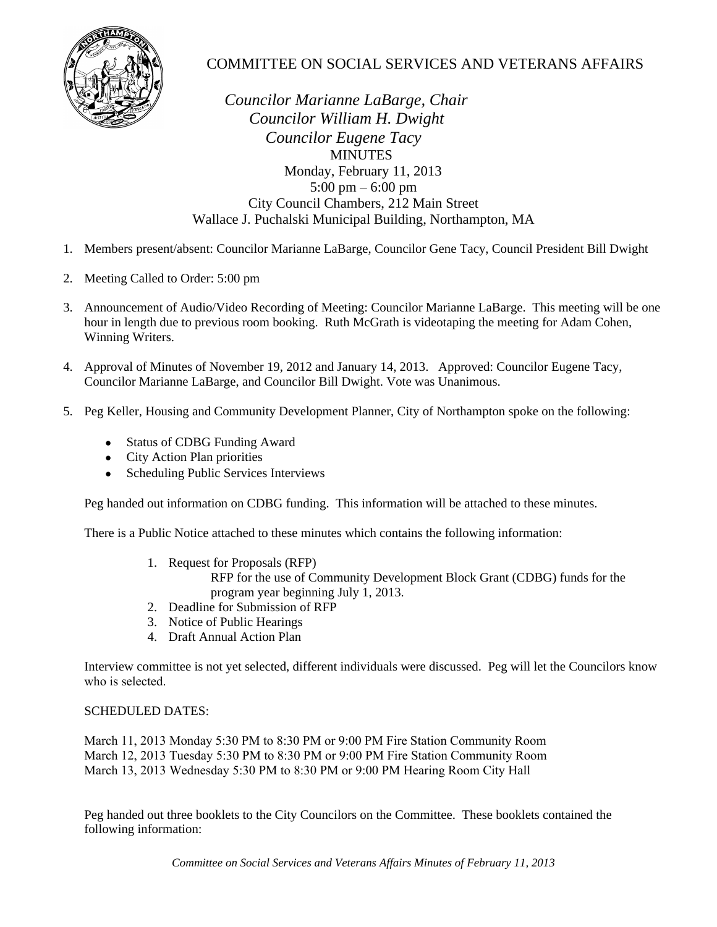

## COMMITTEE ON SOCIAL SERVICES AND VETERANS AFFAIRS

 *Councilor Marianne LaBarge, Chair Councilor William H. Dwight Councilor Eugene Tacy* **MINUTES**  Monday, February 11, 2013 5:00 pm – 6:00 pm City Council Chambers, 212 Main Street Wallace J. Puchalski Municipal Building, Northampton, MA

- 1. Members present/absent: Councilor Marianne LaBarge, Councilor Gene Tacy, Council President Bill Dwight
- 2. Meeting Called to Order: 5:00 pm
- 3. Announcement of Audio/Video Recording of Meeting: Councilor Marianne LaBarge. This meeting will be one hour in length due to previous room booking. Ruth McGrath is videotaping the meeting for Adam Cohen, Winning Writers.
- 4. Approval of Minutes of November 19, 2012 and January 14, 2013. Approved: Councilor Eugene Tacy, Councilor Marianne LaBarge, and Councilor Bill Dwight. Vote was Unanimous.
- 5. Peg Keller, Housing and Community Development Planner, City of Northampton spoke on the following:
	- Status of CDBG Funding Award
	- City Action Plan priorities
	- Scheduling Public Services Interviews

Peg handed out information on CDBG funding. This information will be attached to these minutes.

There is a Public Notice attached to these minutes which contains the following information:

1. Request for Proposals (RFP)

RFP for the use of Community Development Block Grant (CDBG) funds for the program year beginning July 1, 2013.

- 2. Deadline for Submission of RFP
- 3. Notice of Public Hearings
- 4. Draft Annual Action Plan

Interview committee is not yet selected, different individuals were discussed. Peg will let the Councilors know who is selected.

## SCHEDULED DATES:

March 11, 2013 Monday 5:30 PM to 8:30 PM or 9:00 PM Fire Station Community Room March 12, 2013 Tuesday 5:30 PM to 8:30 PM or 9:00 PM Fire Station Community Room March 13, 2013 Wednesday 5:30 PM to 8:30 PM or 9:00 PM Hearing Room City Hall

Peg handed out three booklets to the City Councilors on the Committee. These booklets contained the following information: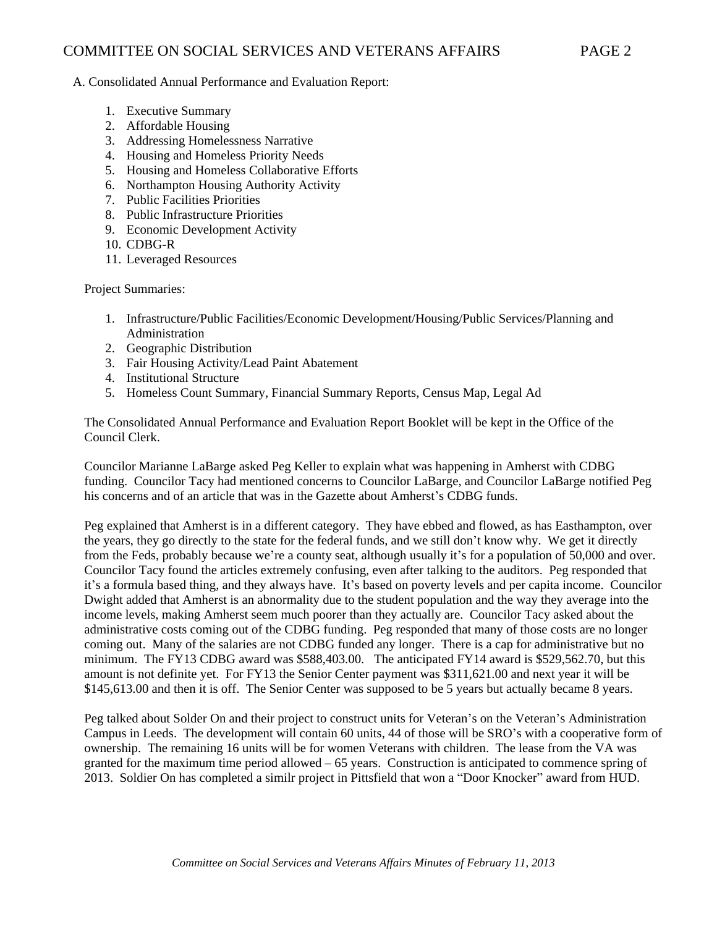A. Consolidated Annual Performance and Evaluation Report:

- 1. Executive Summary
- 2. Affordable Housing
- 3. Addressing Homelessness Narrative
- 4. Housing and Homeless Priority Needs
- 5. Housing and Homeless Collaborative Efforts
- 6. Northampton Housing Authority Activity
- 7. Public Facilities Priorities
- 8. Public Infrastructure Priorities
- 9. Economic Development Activity
- 10. CDBG-R
- 11. Leveraged Resources

Project Summaries:

- 1. Infrastructure/Public Facilities/Economic Development/Housing/Public Services/Planning and Administration
- 2. Geographic Distribution
- 3. Fair Housing Activity/Lead Paint Abatement
- 4. Institutional Structure
- 5. Homeless Count Summary, Financial Summary Reports, Census Map, Legal Ad

The Consolidated Annual Performance and Evaluation Report Booklet will be kept in the Office of the Council Clerk.

Councilor Marianne LaBarge asked Peg Keller to explain what was happening in Amherst with CDBG funding. Councilor Tacy had mentioned concerns to Councilor LaBarge, and Councilor LaBarge notified Peg his concerns and of an article that was in the Gazette about Amherst's CDBG funds.

Peg explained that Amherst is in a different category. They have ebbed and flowed, as has Easthampton, over the years, they go directly to the state for the federal funds, and we still don't know why. We get it directly from the Feds, probably because we're a county seat, although usually it's for a population of 50,000 and over. Councilor Tacy found the articles extremely confusing, even after talking to the auditors. Peg responded that it's a formula based thing, and they always have. It's based on poverty levels and per capita income. Councilor Dwight added that Amherst is an abnormality due to the student population and the way they average into the income levels, making Amherst seem much poorer than they actually are. Councilor Tacy asked about the administrative costs coming out of the CDBG funding. Peg responded that many of those costs are no longer coming out. Many of the salaries are not CDBG funded any longer. There is a cap for administrative but no minimum. The FY13 CDBG award was \$588,403.00. The anticipated FY14 award is \$529,562.70, but this amount is not definite yet. For FY13 the Senior Center payment was \$311,621.00 and next year it will be \$145,613.00 and then it is off. The Senior Center was supposed to be 5 years but actually became 8 years.

Peg talked about Solder On and their project to construct units for Veteran's on the Veteran's Administration Campus in Leeds. The development will contain 60 units, 44 of those will be SRO's with a cooperative form of ownership. The remaining 16 units will be for women Veterans with children. The lease from the VA was granted for the maximum time period allowed – 65 years. Construction is anticipated to commence spring of 2013. Soldier On has completed a similr project in Pittsfield that won a "Door Knocker" award from HUD.